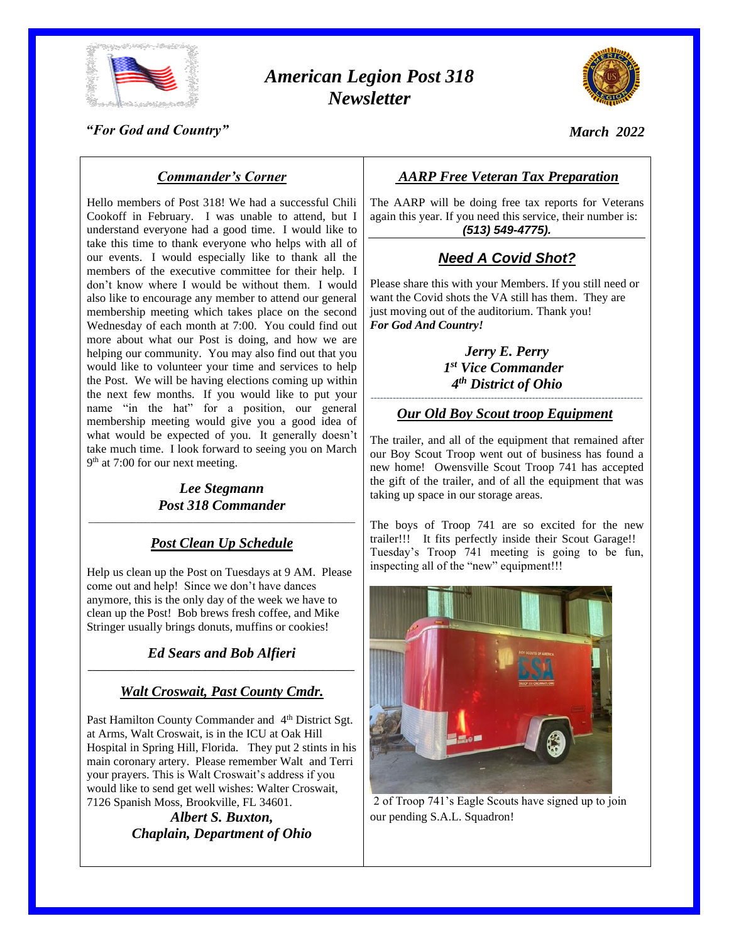

# *American Legion Post 318 Newsletter*



*March 2022*

# *"For God and Country"*

# *Commander's Corner*

Hello members of Post 318! We had a successful Chili Cookoff in February. I was unable to attend, but I understand everyone had a good time. I would like to take this time to thank everyone who helps with all of our events. I would especially like to thank all the members of the executive committee for their help. I don't know where I would be without them. I would also like to encourage any member to attend our general membership meeting which takes place on the second Wednesday of each month at 7:00. You could find out more about what our Post is doing, and how we are helping our community. You may also find out that you would like to volunteer your time and services to help the Post. We will be having elections coming up within the next few months. If you would like to put your name "in the hat" for a position, our general membership meeting would give you a good idea of what would be expected of you. It generally doesn't take much time. I look forward to seeing you on March 9<sup>th</sup> at 7:00 for our next meeting.

#### *Lee Stegmann Post 318 Commander* \_\_\_\_\_\_\_\_\_\_\_\_\_\_\_\_\_\_\_\_\_\_\_\_\_\_\_\_\_\_\_\_\_\_\_\_\_\_\_\_\_\_\_\_\_\_\_\_\_\_\_\_\_\_\_\_

# *Post Clean Up Schedule*

Help us clean up the Post on Tuesdays at 9 AM. Please come out and help! Since we don't have dances anymore, this is the only day of the week we have to clean up the Post! Bob brews fresh coffee, and Mike Stringer usually brings donuts, muffins or cookies!

#### *Ed Sears and Bob Alfieri \_\_\_\_\_\_\_\_\_\_\_\_\_\_\_\_\_\_\_\_\_\_\_\_\_\_\_\_\_\_\_\_\_\_\_\_\_\_\_\_\_\_\_\_\_\_\_\_\_\_\_\_\_\_\_\_*

# *Walt Croswait, Past County Cmdr.*

Past Hamilton County Commander and 4<sup>th</sup> District Sgt. at Arms, Walt Croswait, is in the ICU at Oak Hill Hospital in Spring Hill, Florida. They put 2 stints in his main coronary artery. Please remember Walt and Terri your prayers. This is Walt Croswait's address if you would like to send get well wishes: Walter Croswait, 7126 Spanish Moss, Brookville, FL 34601.

> *Albert S. Buxton, Chaplain, Department of Ohio*

# *AARP Free Veteran Tax Preparation*

The AARP will be doing free tax reports for Veterans again this year. If you need this service, their number is: *(513) 549-4775).*

# *Need A Covid Shot?*

Please share this with your Members. If you still need or want the Covid shots the VA still has them. They are just moving out of the auditorium. Thank you! *For God And Country!*

> *Jerry E. Perry 1 st Vice Commander 4 th District of Ohio*

#### -------------------------------------------------------------------------------------- *Our Old Boy Scout troop Equipment*

The trailer, and all of the equipment that remained after our Boy Scout Troop went out of business has found a new home! Owensville Scout Troop 741 has accepted the gift of the trailer, and of all the equipment that was taking up space in our storage areas.

The boys of Troop 741 are so excited for the new trailer!!! It fits perfectly inside their Scout Garage!! Tuesday's Troop 741 meeting is going to be fun, inspecting all of the "new" equipment!!!



2 of Troop 741's Eagle Scouts have signed up to join our pending S.A.L. Squadron!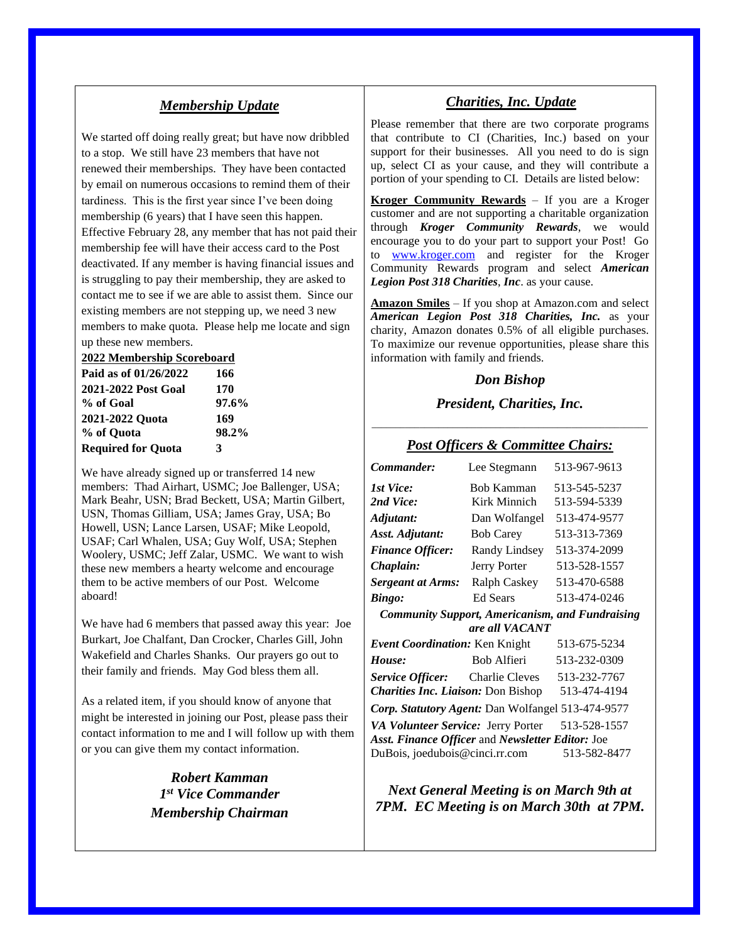# *Membership Update*

We started off doing really great; but have now dribbled to a stop. We still have 23 members that have not renewed their memberships. They have been contacted by email on numerous occasions to remind them of their tardiness. This is the first year since I've been doing membership (6 years) that I have seen this happen. Effective February 28, any member that has not paid their membership fee will have their access card to the Post deactivated. If any member is having financial issues and is struggling to pay their membership, they are asked to contact me to see if we are able to assist them. Since our existing members are not stepping up, we need 3 new members to make quota. Please help me locate and sign up these new members.

#### **2022 Membership Scoreboard**

| Paid as of 01/26/2022     | 166   |
|---------------------------|-------|
| 2021-2022 Post Goal       | 170   |
| % of Goal                 | 97.6% |
| 2021-2022 Quota           | 169   |
| % of Quota                | 98.2% |
| <b>Required for Quota</b> | 3     |

We have already signed up or transferred 14 new members: Thad Airhart, USMC; Joe Ballenger, USA; Mark Beahr, USN; Brad Beckett, USA; Martin Gilbert, USN, Thomas Gilliam, USA; James Gray, USA; Bo Howell, USN; Lance Larsen, USAF; Mike Leopold, USAF; Carl Whalen, USA; Guy Wolf, USA; Stephen Woolery, USMC; Jeff Zalar, USMC. We want to wish these new members a hearty welcome and encourage them to be active members of our Post. Welcome aboard!

We have had 6 members that passed away this year: Joe Burkart, Joe Chalfant, Dan Crocker, Charles Gill, John Wakefield and Charles Shanks. Our prayers go out to their family and friends. May God bless them all.

As a related item, if you should know of anyone that might be interested in joining our Post, please pass their contact information to me and I will follow up with them or you can give them my contact information.

> *Robert Kamman 1 st Vice Commander Membership Chairman*

#### *Charities, Inc. Update*

Please remember that there are two corporate programs that contribute to CI (Charities, Inc.) based on your support for their businesses. All you need to do is sign up, select CI as your cause, and they will contribute a portion of your spending to CI. Details are listed below:

**Kroger Community Rewards** – If you are a Kroger customer and are not supporting a charitable organization through *Kroger Community Rewards*, we would encourage you to do your part to support your Post! Go to [www.kroger.com](http://www.kroger.com/) and register for the Kroger Community Rewards program and select *American Legion Post 318 Charities*, *Inc*. as your cause.

**Amazon Smiles** – If you shop at Amazon.com and select *American Legion Post 318 Charities, Inc.* as your charity, Amazon donates 0.5% of all eligible purchases. To maximize our revenue opportunities, please share this information with family and friends.

#### *Don Bishop*

# *President, Charities, Inc.* \_\_\_\_\_\_\_\_\_\_\_\_\_\_\_\_\_\_\_\_\_\_\_\_\_\_\_\_\_\_\_\_\_\_\_\_\_\_\_\_\_\_\_\_\_\_\_\_\_\_\_\_\_\_\_\_\_\_

#### *Post Officers & Committee Chairs:*

| Commander:                                             | Lee Stegmann         | 513-967-9613 |
|--------------------------------------------------------|----------------------|--------------|
| 1st Vice:                                              | <b>Bob Kamman</b>    | 513-545-5237 |
| 2nd Vice:                                              | Kirk Minnich         | 513-594-5339 |
| Adjutant:                                              | Dan Wolfangel        | 513-474-9577 |
| Asst. Adjutant:                                        | <b>Bob Carey</b>     | 513-313-7369 |
| <b>Finance Officer:</b>                                | <b>Randy Lindsey</b> | 513-374-2099 |
| Chaplain:                                              | Jerry Porter         | 513-528-1557 |
| <b>Sergeant at Arms:</b>                               | <b>Ralph Caskey</b>  | 513-470-6588 |
| Bingo:                                                 | Ed Sears             | 513-474-0246 |
| <b>Community Support, Americanism, and Fundraising</b> |                      |              |
| are all VACANT                                         |                      |              |
| <b>Event Coordination:</b> Ken Knight                  |                      | 513-675-5234 |
| House:                                                 | Bob Alfieri          | 513-232-0309 |
| <i>Service Officer:</i> Charlie Cleves                 |                      | 513-232-7767 |
| <b>Charities Inc. Liaison: Don Bishop</b>              |                      | 513-474-4194 |
| Corp. Statutory Agent: Dan Wolfangel 513-474-9577      |                      |              |
| VA Volunteer Service: Jerry Porter                     |                      | 513-528-1557 |
| Asst. Finance Officer and Newsletter Editor: Joe       |                      |              |
| DuBois, joedubois@cinci.rr.com                         |                      | 513-582-8477 |

*Next General Meeting is on March 9th at 7PM. EC Meeting is on March 30th at 7PM.*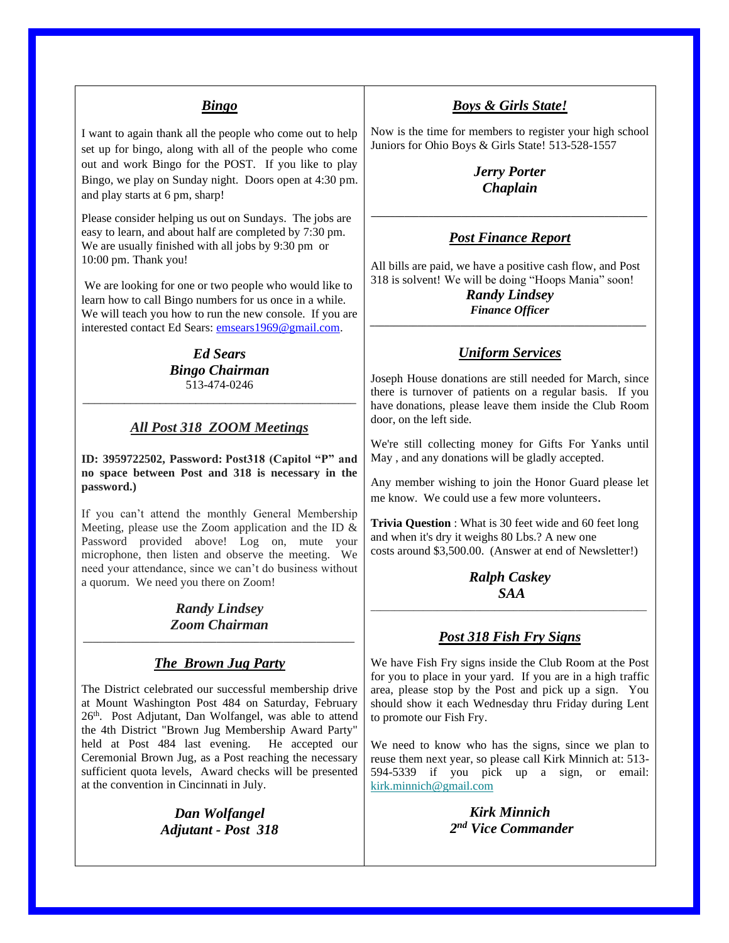### *Bingo*

I want to again thank all the people who come out to help set up for bingo, along with all of the people who come out and work Bingo for the POST. If you like to play Bingo, we play on Sunday night. Doors open at 4:30 pm. and play starts at 6 pm, sharp!

Please consider helping us out on Sundays. The jobs are easy to learn, and about half are completed by 7:30 pm. We are usually finished with all jobs by 9:30 pm or 10:00 pm. Thank you!

We are looking for one or two people who would like to learn how to call Bingo numbers for us once in a while. We will teach you how to run the new console. If you are interested contact Ed Sears[: emsears1969@gmail.com.](mailto:emsears1969@gmail.com)

#### *Ed Sears Bingo Chairman* 513-474-0246

\_\_\_\_\_\_\_\_\_\_\_\_\_\_\_\_\_\_\_\_\_\_\_\_\_\_\_\_\_\_\_\_\_\_\_\_\_\_\_\_\_\_\_\_\_\_

# *All Post 318 ZOOM Meetings*

**ID: 3959722502, Password: Post318 (Capitol "P" and no space between Post and 318 is necessary in the password.)**

If you can't attend the monthly General Membership Meeting, please use the Zoom application and the ID & Password provided above! Log on, mute your microphone, then listen and observe the meeting. We need your attendance, since we can't do business without a quorum. We need you there on Zoom!

#### *Randy Lindsey Zoom Chairman \_\_\_\_\_\_\_\_\_\_\_\_\_\_\_\_\_\_\_\_\_\_\_\_\_\_\_\_\_\_\_\_\_\_\_\_\_\_\_\_\_\_\_\_\_\_\_\_\_\_\_\_\_\_\_\_\_*

## *The Brown Jug Party*

The District celebrated our successful membership drive at Mount Washington Post 484 on Saturday, February 26th. Post Adjutant, Dan Wolfangel, was able to attend the 4th District "Brown Jug Membership Award Party" held at Post 484 last evening. He accepted our Ceremonial Brown Jug, as a Post reaching the necessary sufficient quota levels, Award checks will be presented at the convention in Cincinnati in July.

> *Dan Wolfangel Adjutant - Post 318*

## *Boys & Girls State!*

Now is the time for members to register your high school Juniors for Ohio Boys & Girls State! 513-528-1557

> *Jerry Porter Chaplain*

## *Post Finance Report*

*\_\_\_\_\_\_\_\_\_\_\_\_\_\_\_\_\_\_\_\_\_\_\_\_\_\_\_\_\_\_\_\_\_\_\_\_\_\_\_\_\_\_\_\_\_\_\_\_\_\_\_\_\_\_\_\_\_\_*

All bills are paid, we have a positive cash flow, and Post 318 is solvent! We will be doing "Hoops Mania" soon!

*Randy Lindsey Finance Officer \_\_\_\_\_\_\_\_\_\_\_\_\_\_\_\_\_\_\_\_\_\_\_\_\_\_\_\_\_\_\_\_\_\_\_\_\_\_\_\_\_\_\_\_\_\_\_\_\_\_\_\_\_\_\_\_\_\_*

## *Uniform Services*

Joseph House donations are still needed for March, since there is turnover of patients on a regular basis. If you have donations, please leave them inside the Club Room door, on the left side.

We're still collecting money for Gifts For Yanks until May , and any donations will be gladly accepted.

Any member wishing to join the Honor Guard please let me know. We could use a few more volunteers.

**Trivia Question** : What is 30 feet wide and 60 feet long and when it's dry it weighs 80 Lbs.? A new one costs around \$3,500.00. (Answer at end of Newsletter!)

> *Ralph Caskey SAA*

\_\_\_\_\_\_\_\_\_\_\_\_\_\_\_\_\_\_\_\_\_\_\_\_\_\_\_\_\_\_\_\_\_\_\_\_\_\_\_\_\_\_\_\_\_\_\_\_\_\_\_\_\_\_\_\_\_\_

#### *Post 318 Fish Fry Signs*

We have Fish Fry signs inside the Club Room at the Post for you to place in your yard. If you are in a high traffic area, please stop by the Post and pick up a sign. You should show it each Wednesday thru Friday during Lent to promote our Fish Fry.

We need to know who has the signs, since we plan to reuse them next year, so please call Kirk Minnich at: 513- 594-5339 if you pick up a sign, or email: [kirk.minnich@gmail.com](mailto:kirk.minnich@gmail.com)

> *Kirk Minnich 2 nd Vice Commander*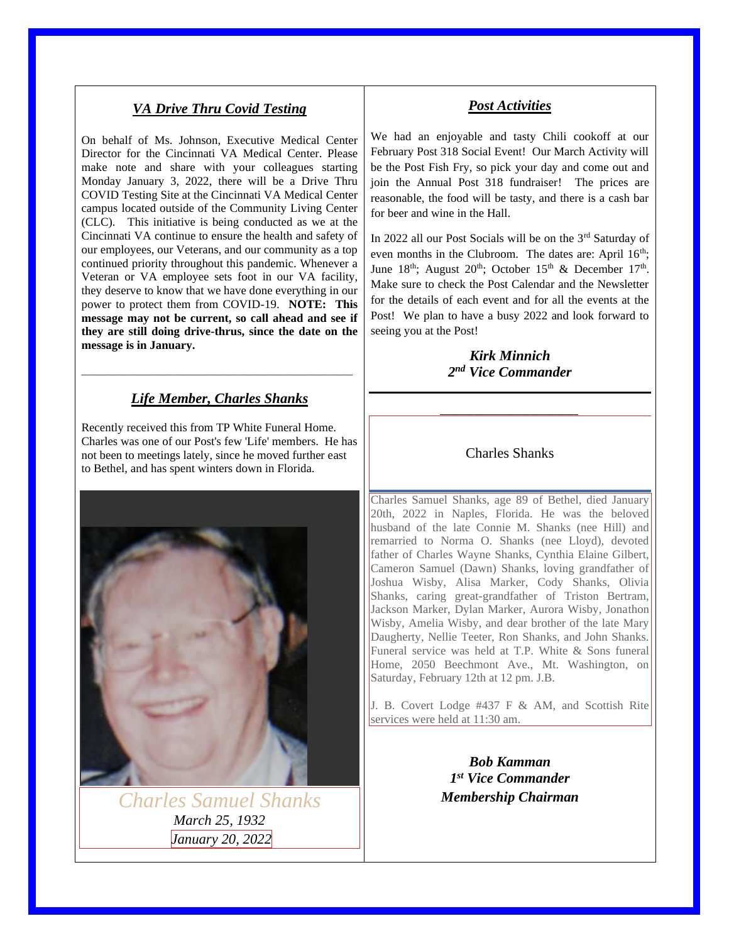### *VA Drive Thru Covid Testing*

On behalf of Ms. Johnson, Executive Medical Center Director for the Cincinnati VA Medical Center. Please make note and share with your colleagues starting Monday January 3, 2022, there will be a Drive Thru COVID Testing Site at the Cincinnati VA Medical Center campus located outside of the Community Living Center (CLC). This initiative is being conducted as we at the Cincinnati VA continue to ensure the health and safety of our employees, our Veterans, and our community as a top continued priority throughout this pandemic. Whenever a Veteran or VA employee sets foot in our VA facility, they deserve to know that we have done everything in our power to protect them from COVID-19. **NOTE: This message may not be current, so call ahead and see if they are still doing drive-thrus, since the date on the message is in January.**

# *Life Member, Charles Shanks*

\_\_\_\_\_\_\_\_\_\_\_\_\_\_\_\_\_\_\_\_\_\_\_\_\_\_\_\_\_\_\_\_\_\_\_\_\_\_\_\_\_\_\_\_\_\_\_\_\_\_\_\_\_\_\_\_\_

Recently received this from TP White Funeral Home. Charles was one of our Post's few 'Life' members. He has not been to meetings lately, since he moved further east to Bethel, and has spent winters down in Florida.



*Charles Samuel Shanks March 25, 1932 January 20, 2022*

#### *Post Activities*

We had an enjoyable and tasty Chili cookoff at our February Post 318 Social Event! Our March Activity will be the Post Fish Fry, so pick your day and come out and join the Annual Post 318 fundraiser! The prices are reasonable, the food will be tasty, and there is a cash bar for beer and wine in the Hall.

In 2022 all our Post Socials will be on the 3rd Saturday of even months in the Clubroom. The dates are: April 16<sup>th</sup>; June  $18<sup>th</sup>$ ; August  $20<sup>th</sup>$ ; October  $15<sup>th</sup>$  & December  $17<sup>th</sup>$ . Make sure to check the Post Calendar and the Newsletter for the details of each event and for all the events at the Post! We plan to have a busy 2022 and look forward to seeing you at the Post!

> *Kirk Minnich 2 nd Vice Commander*

#### Charles Shanks

*\_\_\_\_\_\_\_\_\_\_\_\_\_\_\_\_\_\_\_\_\_\_\_\_\_\_\_\_\_*

Charles Samuel Shanks, age 89 of Bethel, died January 20th, 2022 in Naples, Florida. He was the beloved husband of the late Connie M. Shanks (nee Hill) and remarried to Norma O. Shanks (nee Lloyd), devoted father of Charles Wayne Shanks, Cynthia Elaine Gilbert, Cameron Samuel (Dawn) Shanks, loving grandfather of Joshua Wisby, Alisa Marker, Cody Shanks, Olivia Shanks, caring great-grandfather of Triston Bertram, Jackson Marker, Dylan Marker, Aurora Wisby, Jonathon Wisby, Amelia Wisby, and dear brother of the late Mary Daugherty, Nellie Teeter, Ron Shanks, and John Shanks. Funeral service was held at T.P. White & Sons funeral Home, 2050 Beechmont Ave., Mt. Washington, on Saturday, February 12th at 12 pm. J.B.

J. B. Covert Lodge #437 F & AM, and Scottish Rite services were held at 11:30 am.

> *Bob Kamman 1 st Vice Commander Membership Chairman*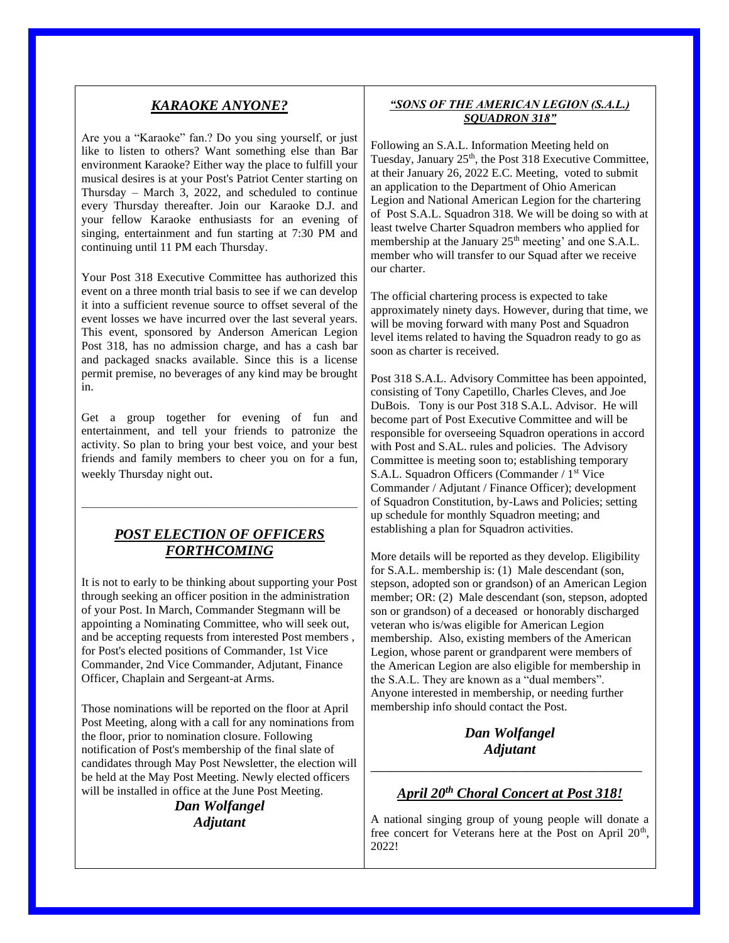### *KARAOKE ANYONE?*

Are you a "Karaoke" fan.? Do you sing yourself, or just like to listen to others? Want something else than Bar environment Karaoke? Either way the place to fulfill your musical desires is at your Post's Patriot Center starting on Thursday – March 3, 2022, and scheduled to continue every Thursday thereafter. Join our Karaoke D.J. and your fellow Karaoke enthusiasts for an evening of singing, entertainment and fun starting at 7:30 PM and continuing until 11 PM each Thursday.

Your Post 318 Executive Committee has authorized this event on a three month trial basis to see if we can develop it into a sufficient revenue source to offset several of the event losses we have incurred over the last several years. This event, sponsored by Anderson American Legion Post 318, has no admission charge, and has a cash bar and packaged snacks available. Since this is a license permit premise, no beverages of any kind may be brought in.

Get a group together for evening of fun and entertainment, and tell your friends to patronize the activity. So plan to bring your best voice, and your best friends and family members to cheer you on for a fun, weekly Thursday night out.

# *POST ELECTION OF OFFICERS FORTHCOMING*

\_\_\_\_\_\_\_\_\_\_\_\_\_\_\_\_\_\_\_\_\_\_\_\_\_\_\_\_\_\_\_\_\_\_\_\_\_\_\_\_\_\_\_\_\_\_\_\_\_\_\_\_\_\_\_\_\_\_

It is not to early to be thinking about supporting your Post through seeking an officer position in the administration of your Post. In March, Commander Stegmann will be appointing a Nominating Committee, who will seek out, and be accepting requests from interested Post members , for Post's elected positions of Commander, 1st Vice Commander, 2nd Vice Commander, Adjutant, Finance Officer, Chaplain and Sergeant-at Arms.

Those nominations will be reported on the floor at April Post Meeting, along with a call for any nominations from the floor, prior to nomination closure. Following notification of Post's membership of the final slate of candidates through May Post Newsletter, the election will be held at the May Post Meeting. Newly elected officers will be installed in office at the June Post Meeting.

> *Dan Wolfangel Adjutant*

## *"SONS OF THE AMERICAN LEGION (S.A.L.) SQUADRON 318"*

Following an S.A.L. Information Meeting held on Tuesday, January 25<sup>th</sup>, the Post 318 Executive Committee, at their January 26, 2022 E.C. Meeting, voted to submit an application to the Department of Ohio American Legion and National American Legion for the chartering of Post S.A.L. Squadron 318. We will be doing so with at least twelve Charter Squadron members who applied for membership at the January 25<sup>th</sup> meeting' and one S.A.L. member who will transfer to our Squad after we receive our charter.

The official chartering process is expected to take approximately ninety days. However, during that time, we will be moving forward with many Post and Squadron level items related to having the Squadron ready to go as soon as charter is received.

Post 318 S.A.L. Advisory Committee has been appointed, consisting of Tony Capetillo, Charles Cleves, and Joe DuBois. Tony is our Post 318 S.A.L. Advisor. He will become part of Post Executive Committee and will be responsible for overseeing Squadron operations in accord with Post and S.AL. rules and policies. The Advisory Committee is meeting soon to; establishing temporary S.A.L. Squadron Officers (Commander / 1<sup>st</sup> Vice Commander / Adjutant / Finance Officer); development of Squadron Constitution, by-Laws and Policies; setting up schedule for monthly Squadron meeting; and establishing a plan for Squadron activities.

More details will be reported as they develop. Eligibility for S.A.L. membership is: (1) Male descendant (son, stepson, adopted son or grandson) of an American Legion member; OR: (2) Male descendant (son, stepson, adopted son or grandson) of a deceased or honorably discharged veteran who is/was eligible for American Legion membership. Also, existing members of the American Legion, whose parent or grandparent were members of the American Legion are also eligible for membership in the S.A.L. They are known as a "dual members". Anyone interested in membership, or needing further membership info should contact the Post.

> *Dan Wolfangel Adjutant*

\_\_\_\_\_\_\_\_\_\_\_\_\_\_\_\_\_\_\_\_\_\_\_\_\_\_\_\_\_\_\_\_\_\_\_\_\_\_

# *April 20th Choral Concert at Post 318!*

A national singing group of young people will donate a free concert for Veterans here at the Post on April 20<sup>th</sup>, 2022!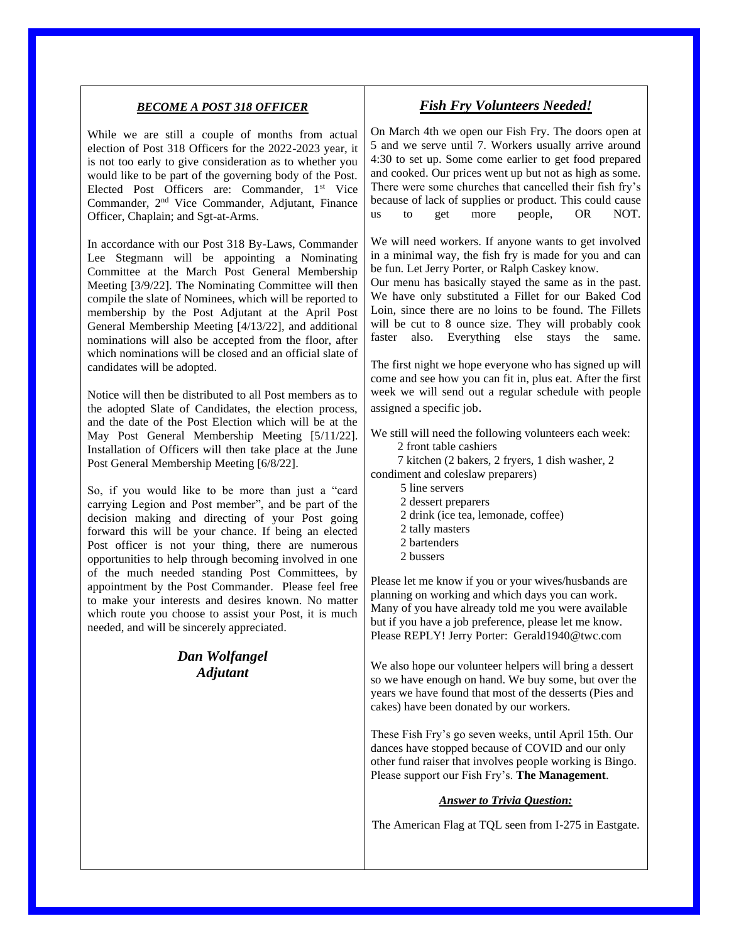#### *BECOME A POST 318 OFFICER*

While we are still a couple of months from actual election of Post 318 Officers for the 2022-2023 year, it is not too early to give consideration as to whether you would like to be part of the governing body of the Post. Elected Post Officers are: Commander, 1<sup>st</sup> Vice Commander, 2nd Vice Commander, Adjutant, Finance Officer, Chaplain; and Sgt-at-Arms.

In accordance with our Post 318 By-Laws, Commander Lee Stegmann will be appointing a Nominating Committee at the March Post General Membership Meeting [3/9/22]. The Nominating Committee will then compile the slate of Nominees, which will be reported to membership by the Post Adjutant at the April Post General Membership Meeting [4/13/22], and additional nominations will also be accepted from the floor, after which nominations will be closed and an official slate of candidates will be adopted.

Notice will then be distributed to all Post members as to the adopted Slate of Candidates, the election process, and the date of the Post Election which will be at the May Post General Membership Meeting [5/11/22]. Installation of Officers will then take place at the June Post General Membership Meeting [6/8/22].

So, if you would like to be more than just a "card carrying Legion and Post member", and be part of the decision making and directing of your Post going forward this will be your chance. If being an elected Post officer is not your thing, there are numerous opportunities to help through becoming involved in one of the much needed standing Post Committees, by appointment by the Post Commander. Please feel free to make your interests and desires known. No matter which route you choose to assist your Post, it is much needed, and will be sincerely appreciated.

> *Dan Wolfangel Adjutant*

# *Fish Fry Volunteers Needed!*

On March 4th we open our Fish Fry. The doors open at 5 and we serve until 7. Workers usually arrive around 4:30 to set up. Some come earlier to get food prepared and cooked. Our prices went up but not as high as some. There were some churches that cancelled their fish fry's because of lack of supplies or product. This could cause us to get more people, OR NOT.

We will need workers. If anyone wants to get involved in a minimal way, the fish fry is made for you and can be fun. Let Jerry Porter, or Ralph Caskey know.

Our menu has basically stayed the same as in the past. We have only substituted a Fillet for our Baked Cod Loin, since there are no loins to be found. The Fillets will be cut to 8 ounce size. They will probably cook faster also. Everything else stays the same.

The first night we hope everyone who has signed up will come and see how you can fit in, plus eat. After the first week we will send out a regular schedule with people assigned a specific job.

We still will need the following volunteers each week: 2 front table cashiers

7 kitchen (2 bakers, 2 fryers, 1 dish washer, 2 condiment and coleslaw preparers)

- 5 line servers
- 2 dessert preparers
- 2 drink (ice tea, lemonade, coffee)
- 2 tally masters
- 2 bartenders
- 2 bussers

Please let me know if you or your wives/husbands are planning on working and which days you can work. Many of you have already told me you were available but if you have a job preference, please let me know. Please REPLY! Jerry Porter: Gerald1940@twc.com

We also hope our volunteer helpers will bring a dessert so we have enough on hand. We buy some, but over the years we have found that most of the desserts (Pies and cakes) have been donated by our workers.

These Fish Fry's go seven weeks, until April 15th. Our dances have stopped because of COVID and our only other fund raiser that involves people working is Bingo. Please support our Fish Fry's. **The Management**.

#### *Answer to Trivia Question:*

The American Flag at TQL seen from I-275 in Eastgate.